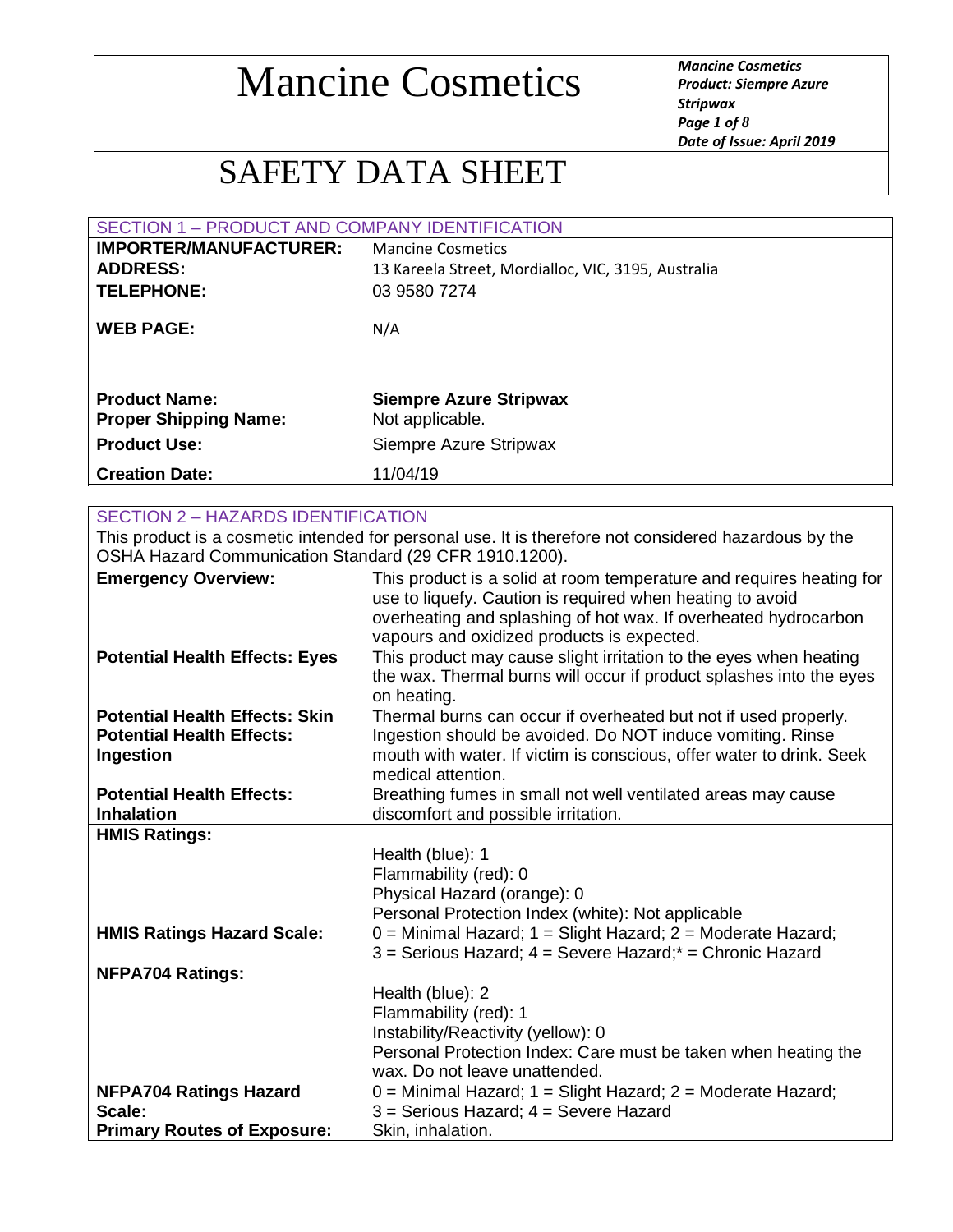*Product: Siempre Azure Stripwax Page 1 of 8 Date of Issue: April 2019*

### SAFETY DATA SHEET

| <b>SECTION 1 - PRODUCT AND COMPANY IDENTIFICATION</b> |                                                     |
|-------------------------------------------------------|-----------------------------------------------------|
| <b>IMPORTER/MANUFACTURER:</b>                         | <b>Mancine Cosmetics</b>                            |
| <b>ADDRESS:</b>                                       | 13 Kareela Street, Mordialloc, VIC, 3195, Australia |
| <b>TELEPHONE:</b>                                     | 03 9580 7274                                        |
| <b>WEB PAGE:</b>                                      | N/A                                                 |
| <b>Product Name:</b><br><b>Proper Shipping Name:</b>  | <b>Siempre Azure Stripwax</b><br>Not applicable.    |
| <b>Product Use:</b>                                   | Siempre Azure Stripwax                              |
| <b>Creation Date:</b>                                 | 11/04/19                                            |
|                                                       |                                                     |

#### SECTION 2 – HAZARDS IDENTIFICATION This product is a cosmetic intended for personal use. It is therefore not considered hazardous by the OSHA Hazard Communication Standard (29 CFR 1910.1200). **Emergency Overview:** This product is a solid at room temperature and requires heating for use to liquefy. Caution is required when heating to avoid overheating and splashing of hot wax. If overheated hydrocarbon vapours and oxidized products is expected. **Potential Health Effects: Eyes** This product may cause slight irritation to the eyes when heating the wax. Thermal burns will occur if product splashes into the eyes on heating. **Potential Health Effects: Skin** Thermal burns can occur if overheated but not if used properly. **Potential Health Effects: Ingestion** Ingestion should be avoided. Do NOT induce vomiting. Rinse mouth with water. If victim is conscious, offer water to drink. Seek medical attention. **Potential Health Effects: Inhalation** Breathing fumes in small not well ventilated areas may cause discomfort and possible irritation. **HMIS Ratings:** Health (blue): 1 Flammability (red): 0 Physical Hazard (orange): 0 Personal Protection Index (white): Not applicable **HMIS Ratings Hazard Scale:** 0 = Minimal Hazard; 1 = Slight Hazard; 2 = Moderate Hazard; 3 = Serious Hazard; 4 = Severe Hazard;\* = Chronic Hazard **NFPA704 Ratings:** Health (blue): 2 Flammability (red): 1 Instability/Reactivity (yellow): 0 Personal Protection Index: Care must be taken when heating the wax. Do not leave unattended. **NFPA704 Ratings Hazard Scale:**  $0 =$  Minimal Hazard;  $1 =$  Slight Hazard;  $2 =$  Moderate Hazard; 3 = Serious Hazard; 4 = Severe Hazard **Primary Routes of Exposure:** Skin, inhalation.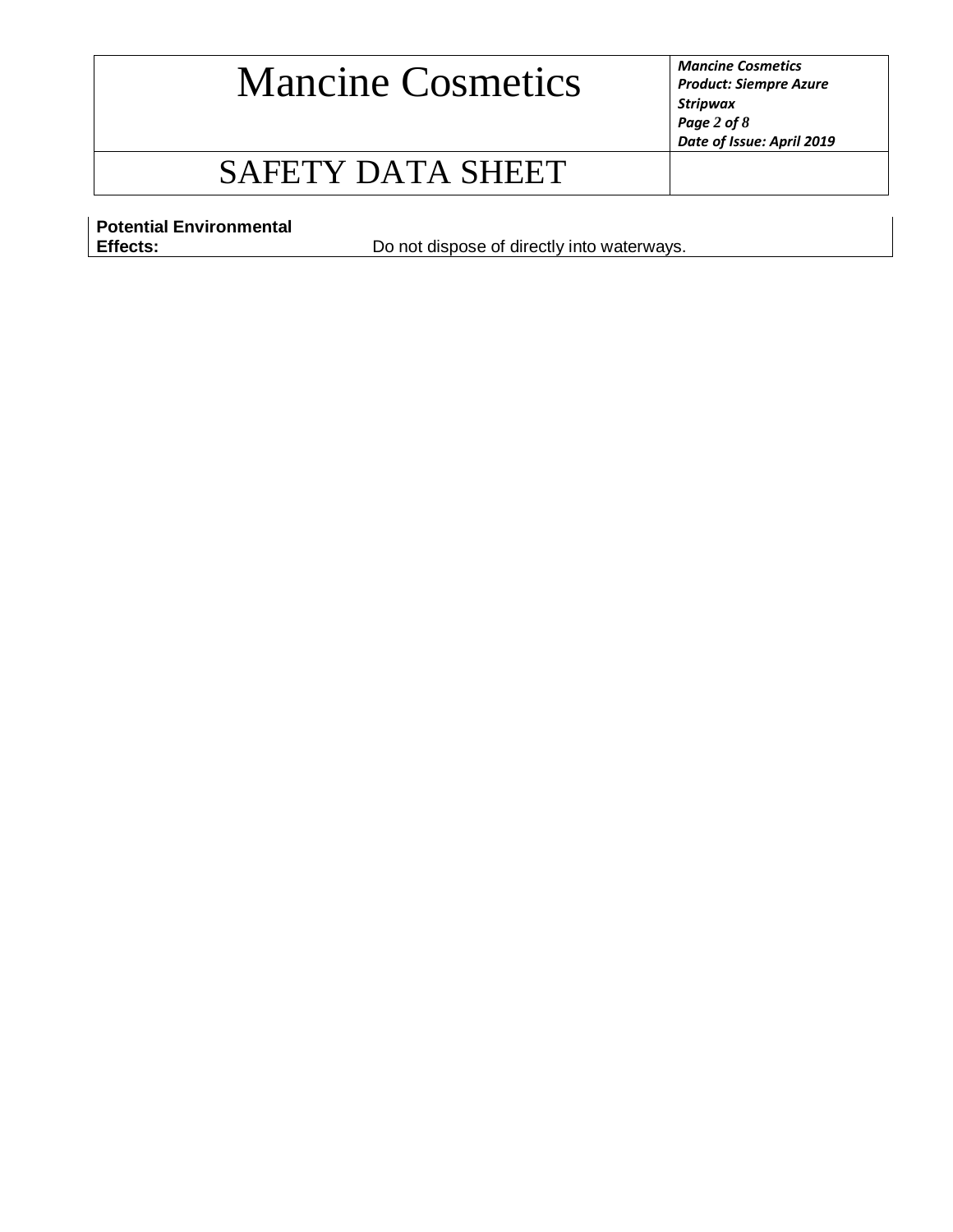*Product: Siempre Azure Stripwax Page 2 of 8 Date of Issue: April 2019*

### SAFETY DATA SHEET

**Potential Environmental** 

Do not dispose of directly into waterways.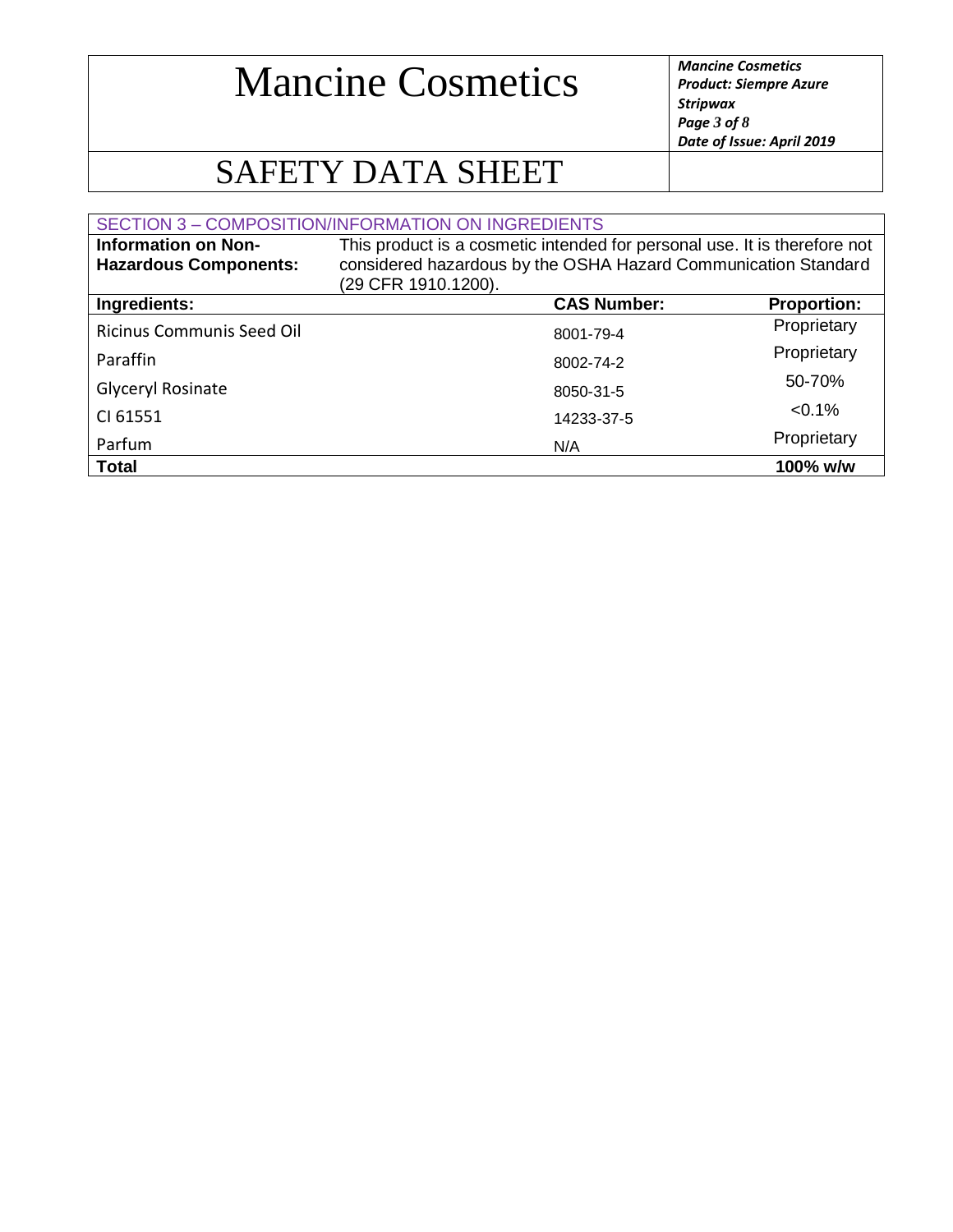*Product: Siempre Azure Stripwax Page 3 of 8 Date of Issue: April 2019*

## SAFETY DATA SHEET

|                                                            | SECTION 3 - COMPOSITION/INFORMATION ON INGREDIENTS                                                                                                                 |                    |
|------------------------------------------------------------|--------------------------------------------------------------------------------------------------------------------------------------------------------------------|--------------------|
| <b>Information on Non-</b><br><b>Hazardous Components:</b> | This product is a cosmetic intended for personal use. It is therefore not<br>considered hazardous by the OSHA Hazard Communication Standard<br>(29 CFR 1910.1200). |                    |
| Ingredients:                                               | <b>CAS Number:</b>                                                                                                                                                 | <b>Proportion:</b> |
| <b>Ricinus Communis Seed Oil</b>                           | 8001-79-4                                                                                                                                                          | Proprietary        |
| Paraffin                                                   | 8002-74-2                                                                                                                                                          | Proprietary        |
| Glyceryl Rosinate                                          | 8050-31-5                                                                                                                                                          | 50-70%             |
| CI 61551                                                   | 14233-37-5                                                                                                                                                         | $< 0.1\%$          |
| Parfum                                                     | N/A                                                                                                                                                                | Proprietary        |
| <b>Total</b>                                               |                                                                                                                                                                    | 100% w/w           |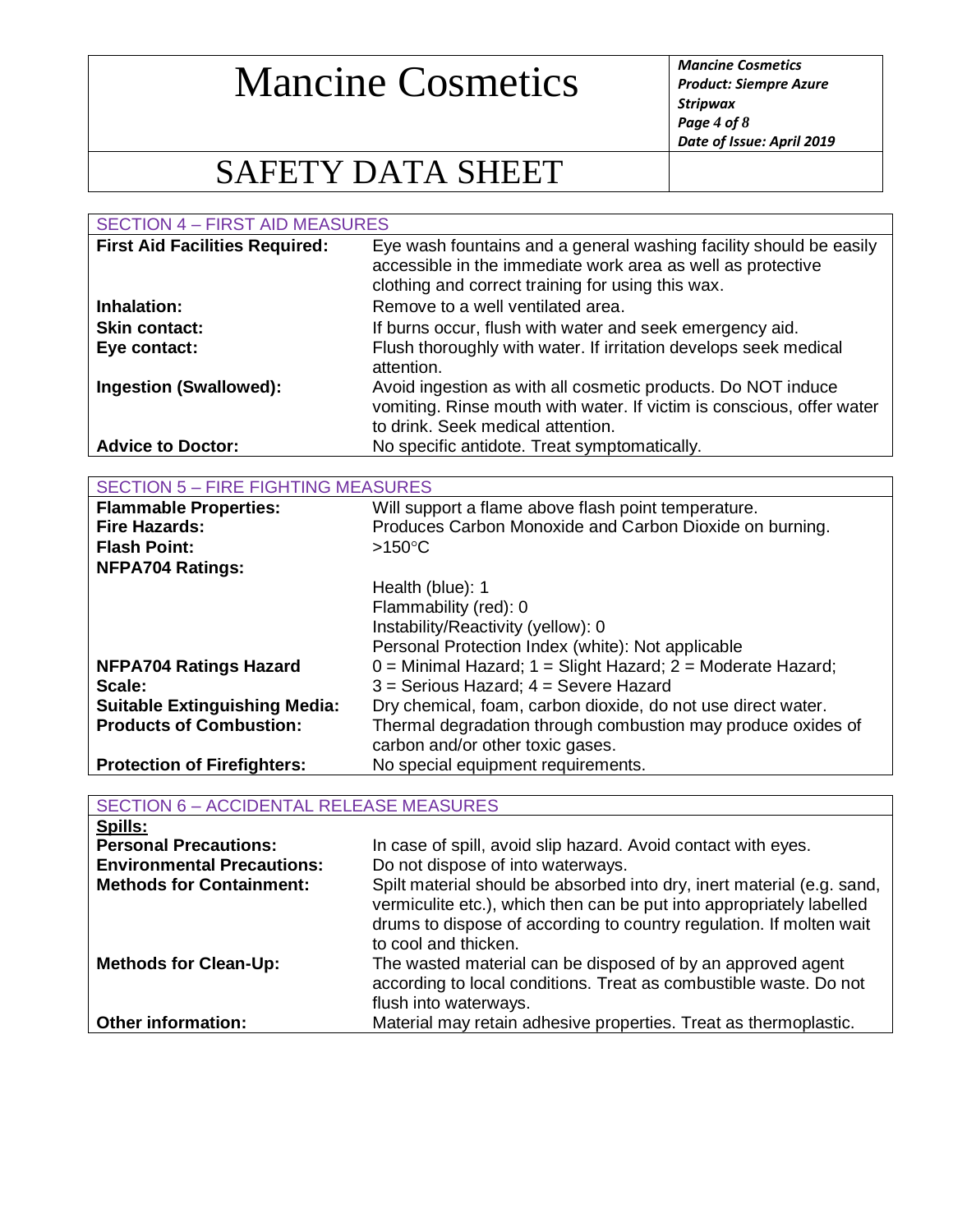*Product: Siempre Azure Stripwax Page 4 of 8 Date of Issue: April 2019*

## SAFETY DATA SHEET

SECTION 4 – FIRST AID MEASURES **First Aid Facilities Required:** Eye wash fountains and a general washing facility should be easily accessible in the immediate work area as well as protective clothing and correct training for using this wax. **Inhalation:** Remove to a well ventilated area. **Skin contact:** If burns occur, flush with water and seek emergency aid. **Eye contact:** Flush thoroughly with water. If irritation develops seek medical attention. **Ingestion (Swallowed):** Avoid ingestion as with all cosmetic products. Do NOT induce vomiting. Rinse mouth with water. If victim is conscious, offer water to drink. Seek medical attention. **Advice to Doctor:** No specific antidote. Treat symptomatically.

| <b>SECTION 5 - FIRE FIGHTING MEASURES</b> |                                                                   |
|-------------------------------------------|-------------------------------------------------------------------|
| <b>Flammable Properties:</b>              | Will support a flame above flash point temperature.               |
| <b>Fire Hazards:</b>                      | Produces Carbon Monoxide and Carbon Dioxide on burning.           |
| <b>Flash Point:</b>                       | $>150^{\circ}$ C                                                  |
| <b>NFPA704 Ratings:</b>                   |                                                                   |
|                                           | Health (blue): 1                                                  |
|                                           | Flammability (red): 0                                             |
|                                           | Instability/Reactivity (yellow): 0                                |
|                                           | Personal Protection Index (white): Not applicable                 |
| <b>NFPA704 Ratings Hazard</b>             | $0 =$ Minimal Hazard; $1 =$ Slight Hazard; $2 =$ Moderate Hazard; |
| Scale:                                    | 3 = Serious Hazard; 4 = Severe Hazard                             |
| <b>Suitable Extinguishing Media:</b>      | Dry chemical, foam, carbon dioxide, do not use direct water.      |
| <b>Products of Combustion:</b>            | Thermal degradation through combustion may produce oxides of      |
|                                           | carbon and/or other toxic gases.                                  |
| <b>Protection of Firefighters:</b>        | No special equipment requirements.                                |

| <b>SECTION 6 - ACCIDENTAL RELEASE MEASURES</b> |                                                                                                                                                                                                                                               |
|------------------------------------------------|-----------------------------------------------------------------------------------------------------------------------------------------------------------------------------------------------------------------------------------------------|
| Spills:                                        |                                                                                                                                                                                                                                               |
| <b>Personal Precautions:</b>                   | In case of spill, avoid slip hazard. Avoid contact with eyes.                                                                                                                                                                                 |
| <b>Environmental Precautions:</b>              | Do not dispose of into waterways.                                                                                                                                                                                                             |
| <b>Methods for Containment:</b>                | Spilt material should be absorbed into dry, inert material (e.g. sand,<br>vermiculite etc.), which then can be put into appropriately labelled<br>drums to dispose of according to country regulation. If molten wait<br>to cool and thicken. |
| <b>Methods for Clean-Up:</b>                   | The wasted material can be disposed of by an approved agent<br>according to local conditions. Treat as combustible waste. Do not<br>flush into waterways.                                                                                     |
| <b>Other information:</b>                      | Material may retain adhesive properties. Treat as thermoplastic.                                                                                                                                                                              |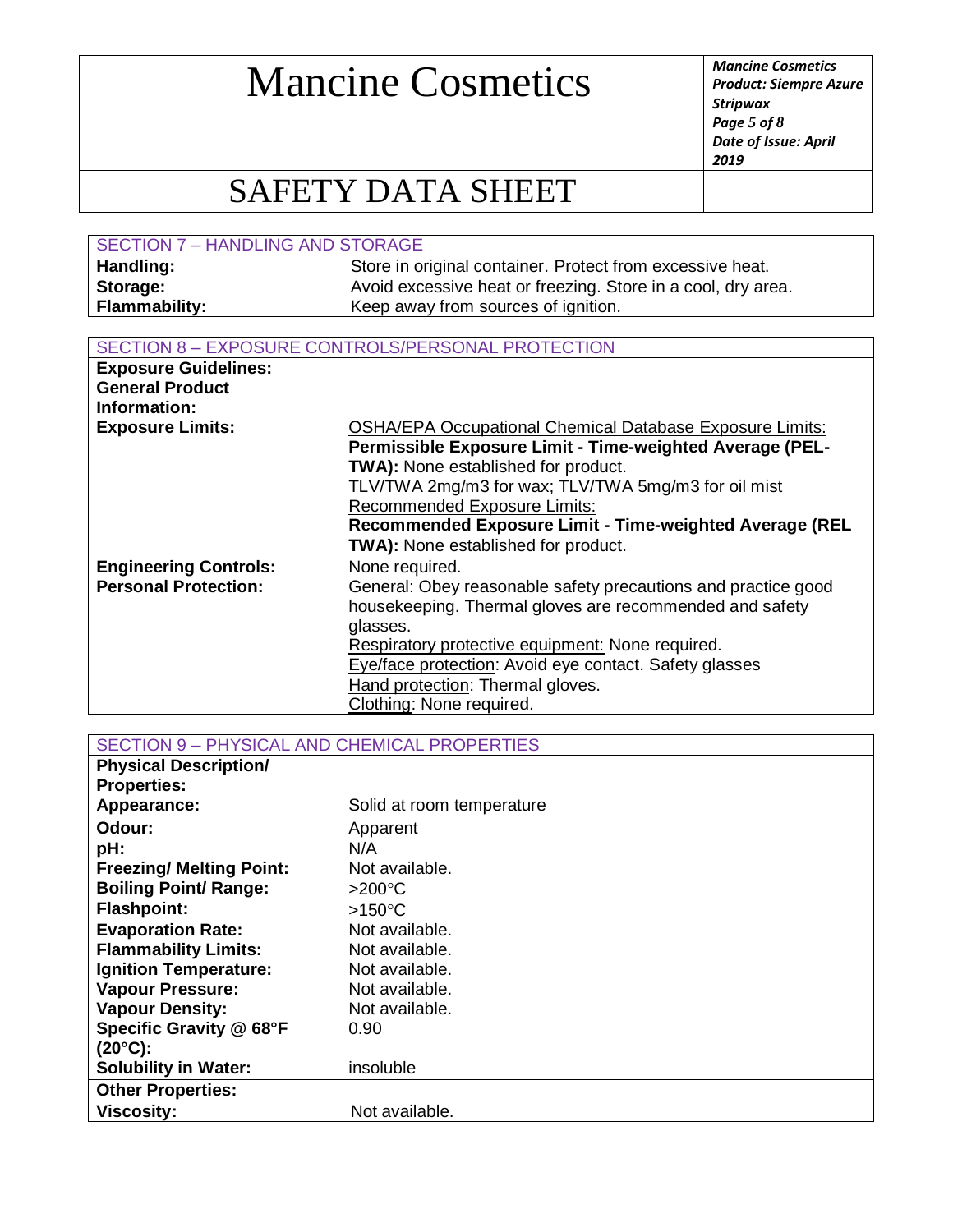*Product: Siempre Azure Stripwax Page 5 of 8 Date of Issue: April 2019*

### SAFETY DATA SHEET

| SECTION 7 - HANDLING AND STORAGE |                                                              |  |
|----------------------------------|--------------------------------------------------------------|--|
| Handling:                        | Store in original container. Protect from excessive heat.    |  |
| Storage:                         | Avoid excessive heat or freezing. Store in a cool, dry area. |  |
| <b>Flammability:</b>             | Keep away from sources of ignition.                          |  |

#### SECTION 8 – EXPOSURE CONTROLS/PERSONAL PROTECTION

| <b>Exposure Guidelines:</b>  |                                                                 |
|------------------------------|-----------------------------------------------------------------|
| <b>General Product</b>       |                                                                 |
| Information:                 |                                                                 |
| <b>Exposure Limits:</b>      | <b>OSHA/EPA Occupational Chemical Database Exposure Limits:</b> |
|                              | Permissible Exposure Limit - Time-weighted Average (PEL-        |
|                              | TWA): None established for product.                             |
|                              | TLV/TWA 2mg/m3 for wax; TLV/TWA 5mg/m3 for oil mist             |
|                              | <b>Recommended Exposure Limits:</b>                             |
|                              | Recommended Exposure Limit - Time-weighted Average (REL         |
|                              | <b>TWA):</b> None established for product.                      |
| <b>Engineering Controls:</b> | None required.                                                  |
| <b>Personal Protection:</b>  | General: Obey reasonable safety precautions and practice good   |
|                              | housekeeping. Thermal gloves are recommended and safety         |
|                              | glasses.                                                        |
|                              | Respiratory protective equipment: None required.                |
|                              | Eye/face protection: Avoid eye contact. Safety glasses          |
|                              | Hand protection: Thermal gloves.                                |
|                              | Clothing: None required.                                        |

SECTION 9 – PHYSICAL AND CHEMICAL PROPERTIES

| <b>Physical Description/</b>    |                           |
|---------------------------------|---------------------------|
| <b>Properties:</b>              |                           |
| Appearance:                     | Solid at room temperature |
| Odour:                          | Apparent                  |
| pH:                             | N/A                       |
| <b>Freezing/ Melting Point:</b> | Not available.            |
| <b>Boiling Point/ Range:</b>    | $>200^{\circ}$ C          |
| <b>Flashpoint:</b>              | $>150^{\circ}$ C          |
| <b>Evaporation Rate:</b>        | Not available.            |
| <b>Flammability Limits:</b>     | Not available.            |
| <b>Ignition Temperature:</b>    | Not available.            |
| <b>Vapour Pressure:</b>         | Not available.            |
| <b>Vapour Density:</b>          | Not available.            |
| Specific Gravity @ 68°F         | 0.90                      |
| $(20^{\circ}C)$ :               |                           |
| <b>Solubility in Water:</b>     | insoluble                 |
| <b>Other Properties:</b>        |                           |
| <b>Viscosity:</b>               | Not available.            |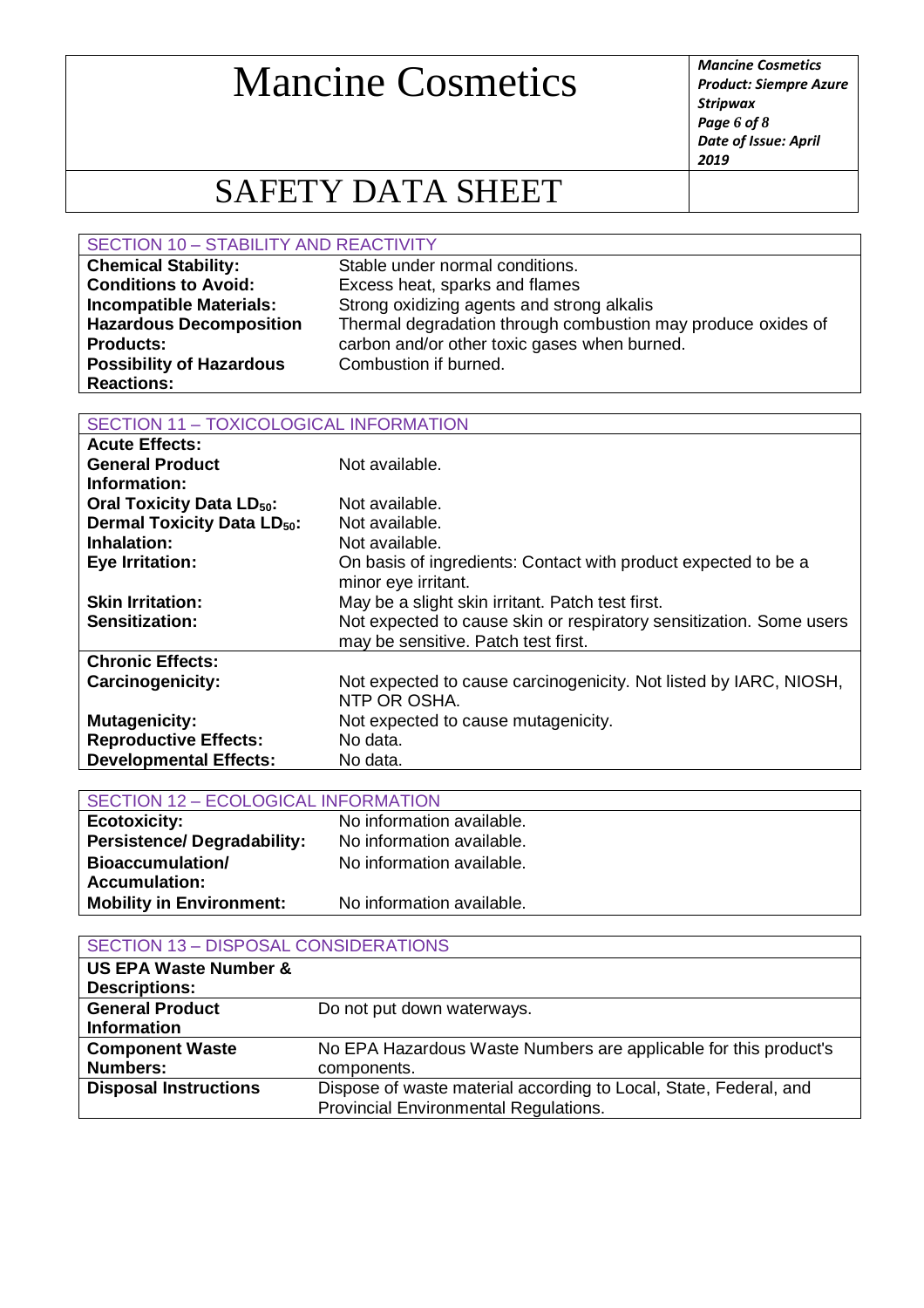*Product: Siempre Azure Stripwax Page 6 of 8 Date of Issue: April 2019*

## SAFETY DATA SHEET

#### SECTION 10 – STABILITY AND REACTIVITY

| <b>Chemical Stability:</b>      | Stable under normal conditions.                              |
|---------------------------------|--------------------------------------------------------------|
| <b>Conditions to Avoid:</b>     | Excess heat, sparks and flames                               |
| <b>Incompatible Materials:</b>  | Strong oxidizing agents and strong alkalis                   |
| <b>Hazardous Decomposition</b>  | Thermal degradation through combustion may produce oxides of |
| <b>Products:</b>                | carbon and/or other toxic gases when burned.                 |
| <b>Possibility of Hazardous</b> | Combustion if burned.                                        |
| <b>Reactions:</b>               |                                                              |

#### SECTION 11 – TOXICOLOGICAL INFORMATION

| <b>Acute Effects:</b>                        |                                                                     |
|----------------------------------------------|---------------------------------------------------------------------|
| <b>General Product</b>                       | Not available.                                                      |
| Information:                                 |                                                                     |
| <b>Oral Toxicity Data LD<sub>50</sub>:</b>   | Not available.                                                      |
| <b>Dermal Toxicity Data LD<sub>50</sub>:</b> | Not available.                                                      |
| Inhalation:                                  | Not available.                                                      |
| <b>Eye Irritation:</b>                       | On basis of ingredients: Contact with product expected to be a      |
|                                              | minor eye irritant.                                                 |
| <b>Skin Irritation:</b>                      | May be a slight skin irritant. Patch test first.                    |
| Sensitization:                               | Not expected to cause skin or respiratory sensitization. Some users |
|                                              | may be sensitive. Patch test first.                                 |
| <b>Chronic Effects:</b>                      |                                                                     |
| <b>Carcinogenicity:</b>                      | Not expected to cause carcinogenicity. Not listed by IARC, NIOSH,   |
|                                              | NTP OR OSHA.                                                        |
| <b>Mutagenicity:</b>                         | Not expected to cause mutagenicity.                                 |
| <b>Reproductive Effects:</b>                 | No data.                                                            |
| <b>Developmental Effects:</b>                | No data.                                                            |

| <b>SECTION 12 - ECOLOGICAL INFORMATION</b> |                           |
|--------------------------------------------|---------------------------|
| <b>Ecotoxicity:</b>                        | No information available. |
| <b>Persistence/Degradability:</b>          | No information available. |
| <b>Bioaccumulation/</b>                    | No information available. |
| <b>Accumulation:</b>                       |                           |
| <b>Mobility in Environment:</b>            | No information available. |

| <b>SECTION 13 - DISPOSAL CONSIDERATIONS</b>                       |  |
|-------------------------------------------------------------------|--|
|                                                                   |  |
|                                                                   |  |
| Do not put down waterways.                                        |  |
|                                                                   |  |
| No EPA Hazardous Waste Numbers are applicable for this product's  |  |
| components.                                                       |  |
| Dispose of waste material according to Local, State, Federal, and |  |
| Provincial Environmental Regulations.                             |  |
|                                                                   |  |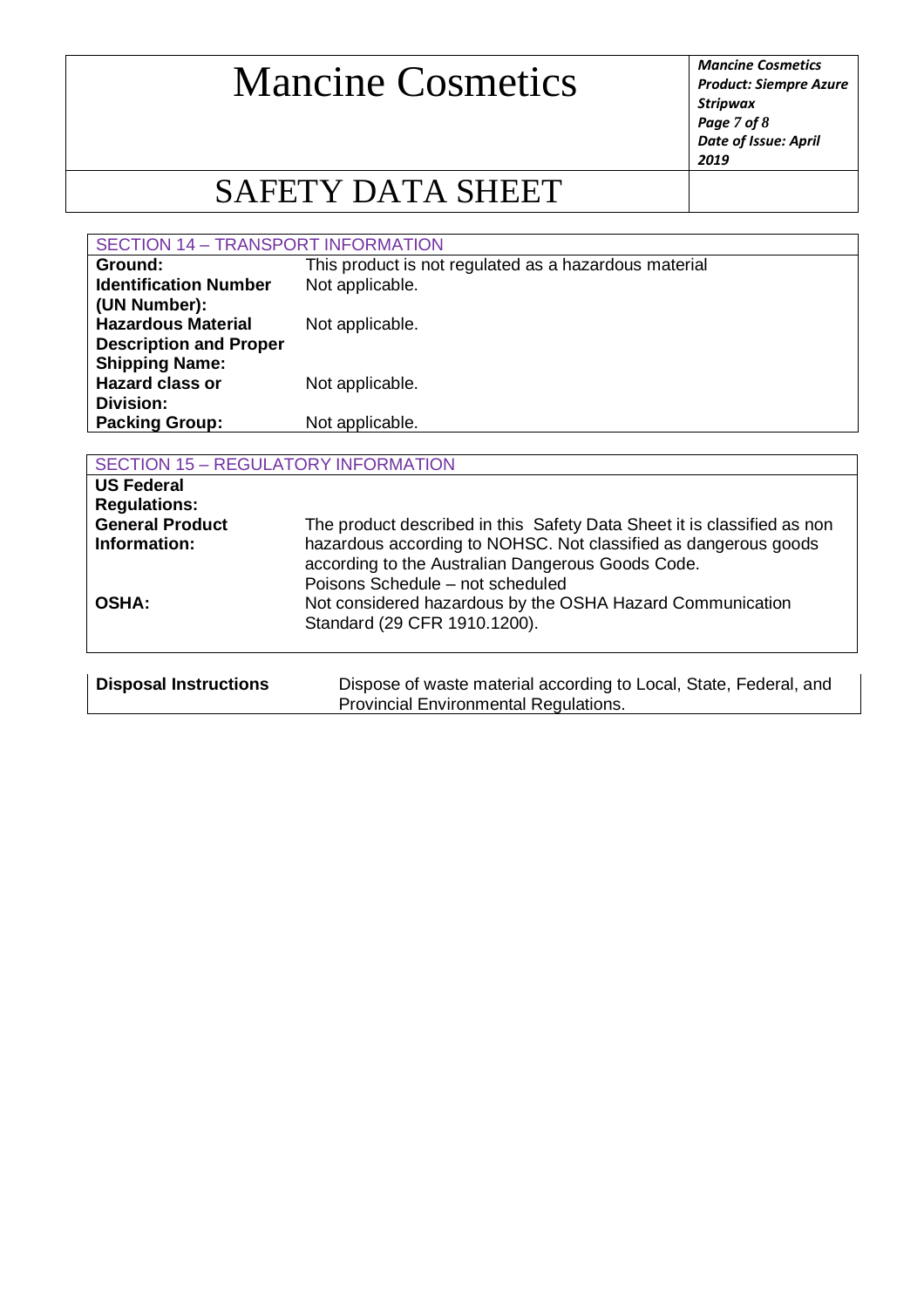*Product: Siempre Azure Stripwax Page 7 of 8 Date of Issue: April 2019*

## SAFETY DATA SHEET

#### SECTION 14 – TRANSPORT INFORMATION

| Ground:                       | This product is not regulated as a hazardous material |
|-------------------------------|-------------------------------------------------------|
| <b>Identification Number</b>  | Not applicable.                                       |
| (UN Number):                  |                                                       |
| <b>Hazardous Material</b>     | Not applicable.                                       |
| <b>Description and Proper</b> |                                                       |
| <b>Shipping Name:</b>         |                                                       |
| <b>Hazard class or</b>        | Not applicable.                                       |
| Division:                     |                                                       |
| <b>Packing Group:</b>         | Not applicable.                                       |
|                               |                                                       |

| <b>SECTION 15 - REGULATORY INFORMATION</b>                                         |                                                                                                                                                                                                                                     |  |
|------------------------------------------------------------------------------------|-------------------------------------------------------------------------------------------------------------------------------------------------------------------------------------------------------------------------------------|--|
| <b>US Federal</b><br><b>Regulations:</b><br><b>General Product</b><br>Information: | The product described in this Safety Data Sheet it is classified as non<br>hazardous according to NOHSC. Not classified as dangerous goods<br>according to the Australian Dangerous Goods Code.<br>Poisons Schedule - not scheduled |  |
| <b>OSHA:</b>                                                                       | Not considered hazardous by the OSHA Hazard Communication<br>Standard (29 CFR 1910.1200).                                                                                                                                           |  |
| <b>Disposal Instructions</b>                                                       | Dispose of waste material according to Local, State, Federal, and<br>Provincial Environmental Regulations.                                                                                                                          |  |